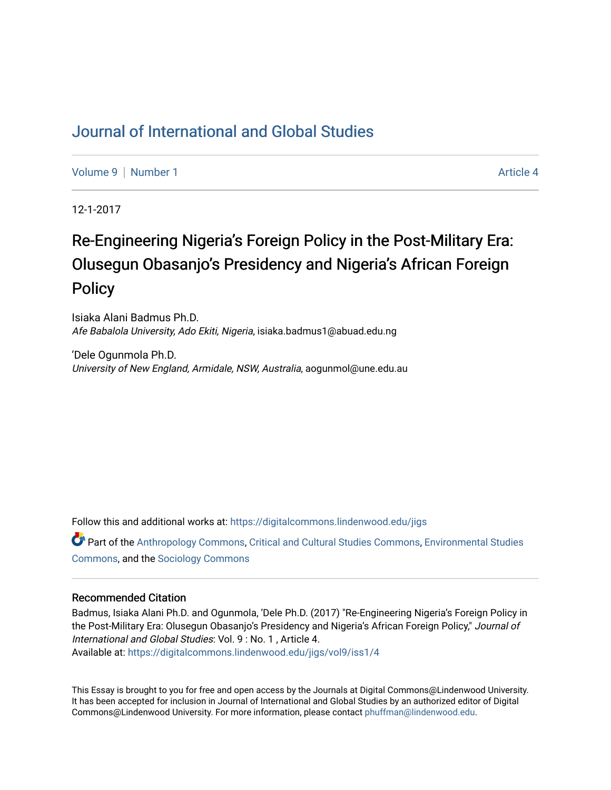# [Journal of International and Global Studies](https://digitalcommons.lindenwood.edu/jigs)

[Volume 9](https://digitalcommons.lindenwood.edu/jigs/vol9) | [Number 1](https://digitalcommons.lindenwood.edu/jigs/vol9/iss1) Article 4

12-1-2017

# Re-Engineering Nigeria's Foreign Policy in the Post-Military Era: Olusegun Obasanjo's Presidency and Nigeria's African Foreign **Policy**

Isiaka Alani Badmus Ph.D. Afe Babalola University, Ado Ekiti, Nigeria, isiaka.badmus1@abuad.edu.ng

'Dele Ogunmola Ph.D. University of New England, Armidale, NSW, Australia, aogunmol@une.edu.au

Follow this and additional works at: [https://digitalcommons.lindenwood.edu/jigs](https://digitalcommons.lindenwood.edu/jigs?utm_source=digitalcommons.lindenwood.edu%2Fjigs%2Fvol9%2Fiss1%2F4&utm_medium=PDF&utm_campaign=PDFCoverPages) 

Part of the [Anthropology Commons](http://network.bepress.com/hgg/discipline/318?utm_source=digitalcommons.lindenwood.edu%2Fjigs%2Fvol9%2Fiss1%2F4&utm_medium=PDF&utm_campaign=PDFCoverPages), [Critical and Cultural Studies Commons](http://network.bepress.com/hgg/discipline/328?utm_source=digitalcommons.lindenwood.edu%2Fjigs%2Fvol9%2Fiss1%2F4&utm_medium=PDF&utm_campaign=PDFCoverPages), [Environmental Studies](http://network.bepress.com/hgg/discipline/1333?utm_source=digitalcommons.lindenwood.edu%2Fjigs%2Fvol9%2Fiss1%2F4&utm_medium=PDF&utm_campaign=PDFCoverPages)  [Commons](http://network.bepress.com/hgg/discipline/1333?utm_source=digitalcommons.lindenwood.edu%2Fjigs%2Fvol9%2Fiss1%2F4&utm_medium=PDF&utm_campaign=PDFCoverPages), and the [Sociology Commons](http://network.bepress.com/hgg/discipline/416?utm_source=digitalcommons.lindenwood.edu%2Fjigs%2Fvol9%2Fiss1%2F4&utm_medium=PDF&utm_campaign=PDFCoverPages)

#### Recommended Citation

Badmus, Isiaka Alani Ph.D. and Ogunmola, 'Dele Ph.D. (2017) "Re-Engineering Nigeria's Foreign Policy in the Post-Military Era: Olusegun Obasanjo's Presidency and Nigeria's African Foreign Policy," Journal of International and Global Studies: Vol. 9 : No. 1 , Article 4. Available at: [https://digitalcommons.lindenwood.edu/jigs/vol9/iss1/4](https://digitalcommons.lindenwood.edu/jigs/vol9/iss1/4?utm_source=digitalcommons.lindenwood.edu%2Fjigs%2Fvol9%2Fiss1%2F4&utm_medium=PDF&utm_campaign=PDFCoverPages)

This Essay is brought to you for free and open access by the Journals at Digital Commons@Lindenwood University. It has been accepted for inclusion in Journal of International and Global Studies by an authorized editor of Digital Commons@Lindenwood University. For more information, please contact [phuffman@lindenwood.edu](mailto:phuffman@lindenwood.edu).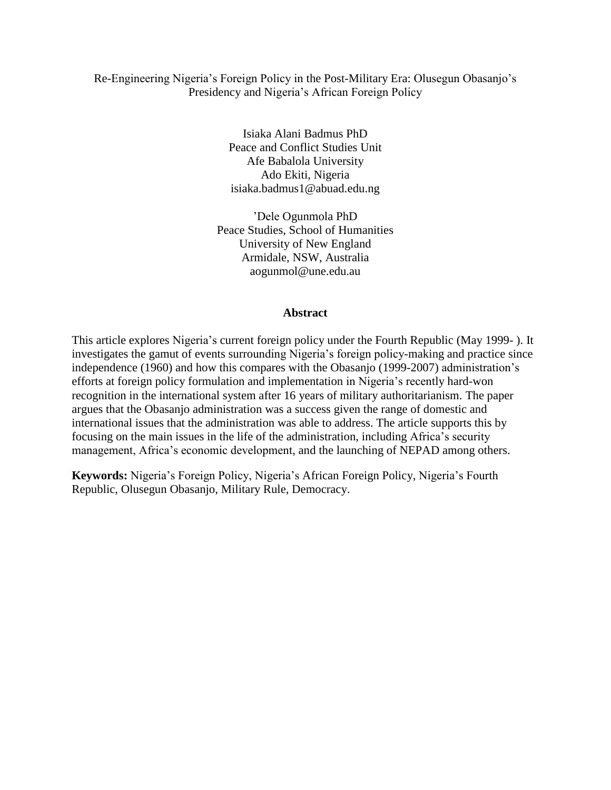# Re-Engineering Nigeria's Foreign Policy in the Post-Military Era: Olusegun Obasanjo's Presidency and Nigeria's African Foreign Policy

Isiaka Alani Badmus PhD Peace and Conflict Studies Unit Afe Babalola University Ado Ekiti, Nigeria isiaka.badmus1@abuad.edu.ng

'Dele Ogunmola PhD Peace Studies, School of Humanities University of New England Armidale, NSW, Australia aogunmol@une.edu.au

#### **Abstract**

This article explores Nigeria's current foreign policy under the Fourth Republic (May 1999- ). It investigates the gamut of events surrounding Nigeria's foreign policy-making and practice since independence (1960) and how this compares with the Obasanjo (1999-2007) administration's efforts at foreign policy formulation and implementation in Nigeria's recently hard-won recognition in the international system after 16 years of military authoritarianism. The paper argues that the Obasanjo administration was a success given the range of domestic and international issues that the administration was able to address. The article supports this by focusing on the main issues in the life of the administration, including Africa's security management, Africa's economic development, and the launching of NEPAD among others.

**Keywords:** Nigeria's Foreign Policy, Nigeria's African Foreign Policy, Nigeria's Fourth Republic, Olusegun Obasanjo, Military Rule, Democracy.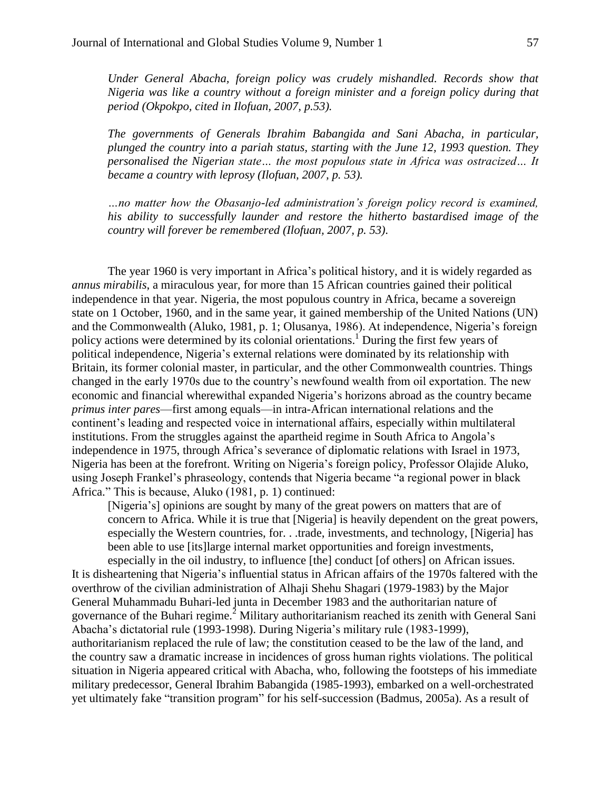*Under General Abacha, foreign policy was crudely mishandled. Records show that Nigeria was like a country without a foreign minister and a foreign policy during that period (Okpokpo, cited in Ilofuan, 2007, p.53).* 

*The governments of Generals Ibrahim Babangida and Sani Abacha, in particular, plunged the country into a pariah status, starting with the June 12, 1993 question. They personalised the Nigerian state… the most populous state in Africa was ostracized… It became a country with leprosy (Ilofuan, 2007, p. 53).*

*…no matter how the Obasanjo-led administration's foreign policy record is examined, his ability to successfully launder and restore the hitherto bastardised image of the country will forever be remembered (Ilofuan, 2007, p. 53)*.

The year 1960 is very important in Africa's political history, and it is widely regarded as *annus mirabilis*, a miraculous year, for more than 15 African countries gained their political independence in that year. Nigeria, the most populous country in Africa, became a sovereign state on 1 October, 1960, and in the same year, it gained membership of the United Nations (UN) and the Commonwealth (Aluko, 1981, p. 1; Olusanya, 1986). At independence, Nigeria's foreign policy actions were determined by its colonial orientations.<sup>1</sup> During the first few years of political independence, Nigeria's external relations were dominated by its relationship with Britain, its former colonial master, in particular, and the other Commonwealth countries. Things changed in the early 1970s due to the country's newfound wealth from oil exportation. The new economic and financial wherewithal expanded Nigeria's horizons abroad as the country became *primus inter pares*—first among equals—in intra-African international relations and the continent's leading and respected voice in international affairs, especially within multilateral institutions. From the struggles against the apartheid regime in South Africa to Angola's independence in 1975, through Africa's severance of diplomatic relations with Israel in 1973, Nigeria has been at the forefront. Writing on Nigeria's foreign policy, Professor Olajide Aluko, using Joseph Frankel's phraseology, contends that Nigeria became "a regional power in black Africa." This is because, Aluko (1981, p. 1) continued:

[Nigeria's] opinions are sought by many of the great powers on matters that are of concern to Africa. While it is true that [Nigeria] is heavily dependent on the great powers, especially the Western countries, for. . .trade, investments, and technology, [Nigeria] has been able to use [its]large internal market opportunities and foreign investments, especially in the oil industry, to influence [the] conduct [of others] on African issues.

It is disheartening that Nigeria's influential status in African affairs of the 1970s faltered with the overthrow of the civilian administration of Alhaji Shehu Shagari (1979-1983) by the Major General Muhammadu Buhari-led junta in December 1983 and the authoritarian nature of governance of the Buhari regime.<sup>2</sup> Military authoritarianism reached its zenith with General Sani Abacha's dictatorial rule (1993-1998). During Nigeria's military rule (1983-1999), authoritarianism replaced the rule of law; the constitution ceased to be the law of the land, and the country saw a dramatic increase in incidences of gross human rights violations. The political situation in Nigeria appeared critical with Abacha, who, following the footsteps of his immediate military predecessor, General Ibrahim Babangida (1985-1993), embarked on a well-orchestrated yet ultimately fake "transition program" for his self-succession (Badmus, 2005a). As a result of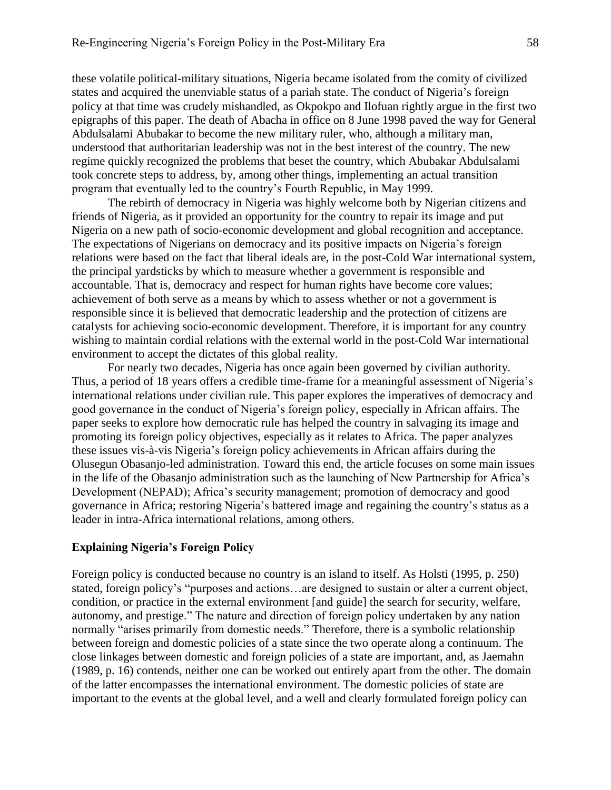these volatile political-military situations, Nigeria became isolated from the comity of civilized states and acquired the unenviable status of a pariah state. The conduct of Nigeria's foreign policy at that time was crudely mishandled, as Okpokpo and Ilofuan rightly argue in the first two epigraphs of this paper. The death of Abacha in office on 8 June 1998 paved the way for General Abdulsalami Abubakar to become the new military ruler, who, although a military man, understood that authoritarian leadership was not in the best interest of the country. The new regime quickly recognized the problems that beset the country, which Abubakar Abdulsalami took concrete steps to address, by, among other things, implementing an actual transition program that eventually led to the country's Fourth Republic, in May 1999.

The rebirth of democracy in Nigeria was highly welcome both by Nigerian citizens and friends of Nigeria, as it provided an opportunity for the country to repair its image and put Nigeria on a new path of socio-economic development and global recognition and acceptance. The expectations of Nigerians on democracy and its positive impacts on Nigeria's foreign relations were based on the fact that liberal ideals are, in the post-Cold War international system, the principal yardsticks by which to measure whether a government is responsible and accountable. That is, democracy and respect for human rights have become core values; achievement of both serve as a means by which to assess whether or not a government is responsible since it is believed that democratic leadership and the protection of citizens are catalysts for achieving socio-economic development. Therefore, it is important for any country wishing to maintain cordial relations with the external world in the post-Cold War international environment to accept the dictates of this global reality.

For nearly two decades, Nigeria has once again been governed by civilian authority. Thus, a period of 18 years offers a credible time-frame for a meaningful assessment of Nigeria's international relations under civilian rule. This paper explores the imperatives of democracy and good governance in the conduct of Nigeria's foreign policy, especially in African affairs. The paper seeks to explore how democratic rule has helped the country in salvaging its image and promoting its foreign policy objectives, especially as it relates to Africa. The paper analyzes these issues vis-à-vis Nigeria's foreign policy achievements in African affairs during the Olusegun Obasanjo-led administration. Toward this end, the article focuses on some main issues in the life of the Obasanjo administration such as the launching of New Partnership for Africa's Development (NEPAD); Africa's security management; promotion of democracy and good governance in Africa; restoring Nigeria's battered image and regaining the country's status as a leader in intra-Africa international relations, among others.

#### **Explaining Nigeria's Foreign Policy**

Foreign policy is conducted because no country is an island to itself. As Holsti (1995, p. 250) stated, foreign policy's "purposes and actions…are designed to sustain or alter a current object, condition, or practice in the external environment [and guide] the search for security, welfare, autonomy, and prestige." The nature and direction of foreign policy undertaken by any nation normally "arises primarily from domestic needs." Therefore, there is a symbolic relationship between foreign and domestic policies of a state since the two operate along a continuum. The close linkages between domestic and foreign policies of a state are important, and, as Jaemahn (1989, p. 16) contends, neither one can be worked out entirely apart from the other. The domain of the latter encompasses the international environment. The domestic policies of state are important to the events at the global level, and a well and clearly formulated foreign policy can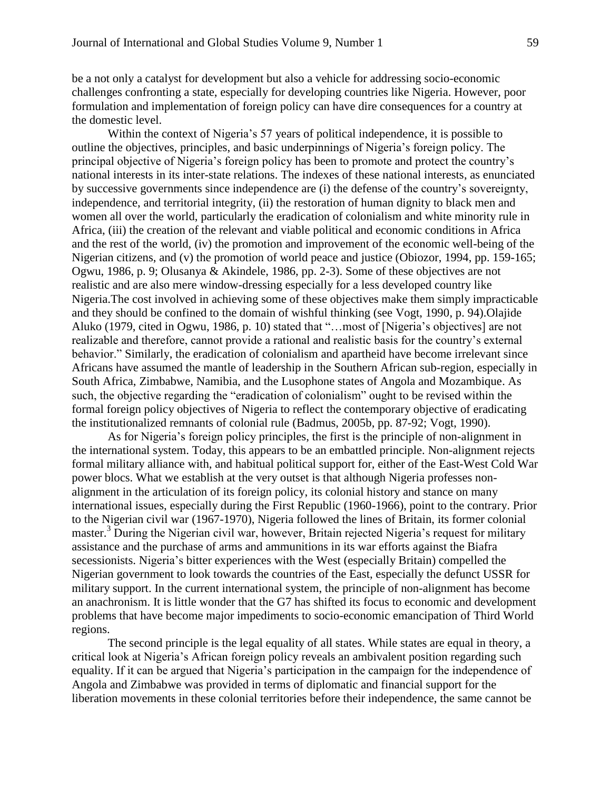be a not only a catalyst for development but also a vehicle for addressing socio-economic challenges confronting a state, especially for developing countries like Nigeria. However, poor formulation and implementation of foreign policy can have dire consequences for a country at the domestic level.

Within the context of Nigeria's 57 years of political independence, it is possible to outline the objectives, principles, and basic underpinnings of Nigeria's foreign policy. The principal objective of Nigeria's foreign policy has been to promote and protect the country's national interests in its inter-state relations. The indexes of these national interests, as enunciated by successive governments since independence are (i) the defense of the country's sovereignty, independence, and territorial integrity, (ii) the restoration of human dignity to black men and women all over the world, particularly the eradication of colonialism and white minority rule in Africa, (iii) the creation of the relevant and viable political and economic conditions in Africa and the rest of the world, (iv) the promotion and improvement of the economic well-being of the Nigerian citizens, and (v) the promotion of world peace and justice (Obiozor, 1994, pp. 159-165; Ogwu, 1986, p. 9; Olusanya & Akindele, 1986, pp. 2-3). Some of these objectives are not realistic and are also mere window-dressing especially for a less developed country like Nigeria.The cost involved in achieving some of these objectives make them simply impracticable and they should be confined to the domain of wishful thinking (see Vogt, 1990, p. 94).Olajide Aluko (1979, cited in Ogwu, 1986, p. 10) stated that "…most of [Nigeria's objectives] are not realizable and therefore, cannot provide a rational and realistic basis for the country's external behavior." Similarly, the eradication of colonialism and apartheid have become irrelevant since Africans have assumed the mantle of leadership in the Southern African sub-region, especially in South Africa, Zimbabwe, Namibia, and the Lusophone states of Angola and Mozambique. As such, the objective regarding the "eradication of colonialism" ought to be revised within the formal foreign policy objectives of Nigeria to reflect the contemporary objective of eradicating the institutionalized remnants of colonial rule (Badmus, 2005b, pp. 87-92; Vogt, 1990).

As for Nigeria's foreign policy principles, the first is the principle of non-alignment in the international system. Today, this appears to be an embattled principle. Non-alignment rejects formal military alliance with, and habitual political support for, either of the East-West Cold War power blocs. What we establish at the very outset is that although Nigeria professes nonalignment in the articulation of its foreign policy, its colonial history and stance on many international issues, especially during the First Republic (1960-1966), point to the contrary. Prior to the Nigerian civil war (1967-1970), Nigeria followed the lines of Britain, its former colonial master.<sup>3</sup> During the Nigerian civil war, however, Britain rejected Nigeria's request for military assistance and the purchase of arms and ammunitions in its war efforts against the Biafra secessionists. Nigeria's bitter experiences with the West (especially Britain) compelled the Nigerian government to look towards the countries of the East, especially the defunct USSR for military support. In the current international system, the principle of non-alignment has become an anachronism. It is little wonder that the G7 has shifted its focus to economic and development problems that have become major impediments to socio-economic emancipation of Third World regions.

The second principle is the legal equality of all states. While states are equal in theory, a critical look at Nigeria's African foreign policy reveals an ambivalent position regarding such equality. If it can be argued that Nigeria's participation in the campaign for the independence of Angola and Zimbabwe was provided in terms of diplomatic and financial support for the liberation movements in these colonial territories before their independence, the same cannot be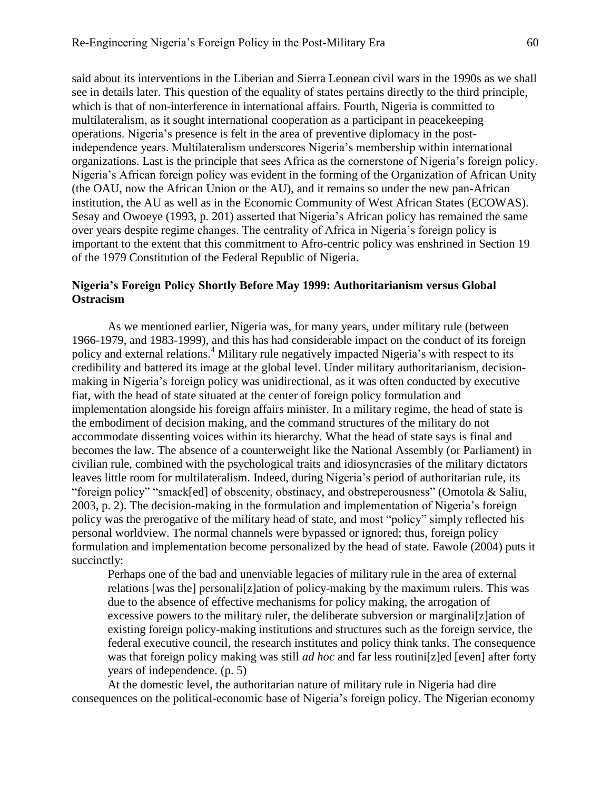said about its interventions in the Liberian and Sierra Leonean civil wars in the 1990s as we shall see in details later. This question of the equality of states pertains directly to the third principle, which is that of non-interference in international affairs. Fourth, Nigeria is committed to multilateralism, as it sought international cooperation as a participant in peacekeeping operations. Nigeria's presence is felt in the area of preventive diplomacy in the postindependence years. Multilateralism underscores Nigeria's membership within international organizations. Last is the principle that sees Africa as the cornerstone of Nigeria's foreign policy. Nigeria's African foreign policy was evident in the forming of the Organization of African Unity (the OAU, now the African Union or the AU), and it remains so under the new pan-African institution, the AU as well as in the Economic Community of West African States (ECOWAS). Sesay and Owoeye (1993, p. 201) asserted that Nigeria's African policy has remained the same over years despite regime changes. The centrality of Africa in Nigeria's foreign policy is important to the extent that this commitment to Afro-centric policy was enshrined in Section 19 of the 1979 Constitution of the Federal Republic of Nigeria.

# **Nigeria's Foreign Policy Shortly Before May 1999: Authoritarianism versus Global Ostracism**

As we mentioned earlier, Nigeria was, for many years, under military rule (between 1966-1979, and 1983-1999), and this has had considerable impact on the conduct of its foreign policy and external relations.<sup>4</sup> Military rule negatively impacted Nigeria's with respect to its credibility and battered its image at the global level. Under military authoritarianism, decisionmaking in Nigeria's foreign policy was unidirectional, as it was often conducted by executive fiat, with the head of state situated at the center of foreign policy formulation and implementation alongside his foreign affairs minister. In a military regime, the head of state is the embodiment of decision making, and the command structures of the military do not accommodate dissenting voices within its hierarchy. What the head of state says is final and becomes the law. The absence of a counterweight like the National Assembly (or Parliament) in civilian rule, combined with the psychological traits and idiosyncrasies of the military dictators leaves little room for multilateralism. Indeed, during Nigeria's period of authoritarian rule, its "foreign policy" "smack[ed] of obscenity, obstinacy, and obstreperousness" (Omotola & Saliu, 2003, p. 2). The decision-making in the formulation and implementation of Nigeria's foreign policy was the prerogative of the military head of state, and most "policy" simply reflected his personal worldview. The normal channels were bypassed or ignored; thus, foreign policy formulation and implementation become personalized by the head of state. Fawole (2004) puts it succinctly:

Perhaps one of the bad and unenviable legacies of military rule in the area of external relations [was the] personali[z]ation of policy-making by the maximum rulers. This was due to the absence of effective mechanisms for policy making, the arrogation of excessive powers to the military ruler, the deliberate subversion or marginali[z]ation of existing foreign policy-making institutions and structures such as the foreign service, the federal executive council, the research institutes and policy think tanks. The consequence was that foreign policy making was still *ad hoc* and far less routini[z]ed [even] after forty years of independence. (p. 5)

At the domestic level, the authoritarian nature of military rule in Nigeria had dire consequences on the political-economic base of Nigeria's foreign policy. The Nigerian economy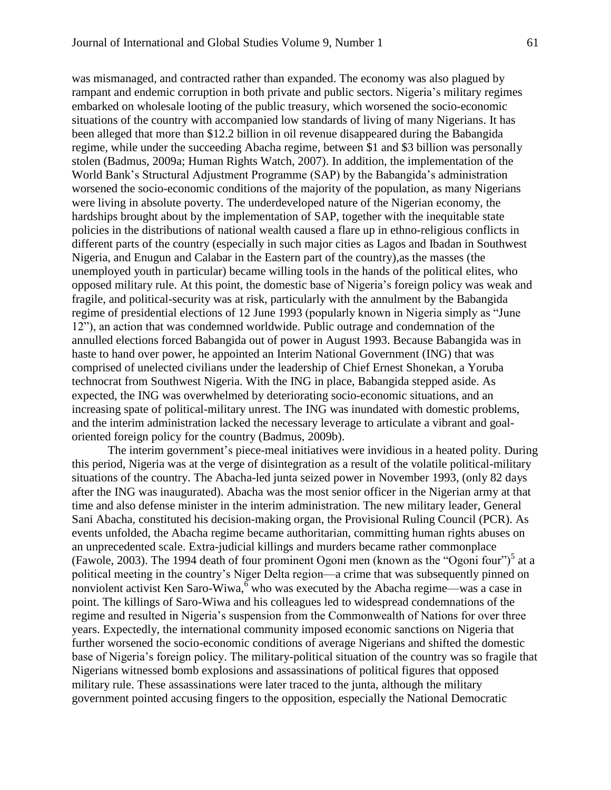was mismanaged, and contracted rather than expanded. The economy was also plagued by rampant and endemic corruption in both private and public sectors. Nigeria's military regimes embarked on wholesale looting of the public treasury, which worsened the socio-economic situations of the country with accompanied low standards of living of many Nigerians. It has been alleged that more than \$12.2 billion in oil revenue disappeared during the Babangida regime, while under the succeeding Abacha regime, between \$1 and \$3 billion was personally stolen (Badmus, 2009a; Human Rights Watch, 2007). In addition, the implementation of the World Bank's Structural Adjustment Programme (SAP) by the Babangida's administration worsened the socio-economic conditions of the majority of the population, as many Nigerians were living in absolute poverty. The underdeveloped nature of the Nigerian economy, the hardships brought about by the implementation of SAP, together with the inequitable state policies in the distributions of national wealth caused a flare up in ethno-religious conflicts in different parts of the country (especially in such major cities as Lagos and Ibadan in Southwest Nigeria, and Enugun and Calabar in the Eastern part of the country),as the masses (the unemployed youth in particular) became willing tools in the hands of the political elites, who opposed military rule. At this point, the domestic base of Nigeria's foreign policy was weak and fragile, and political-security was at risk, particularly with the annulment by the Babangida regime of presidential elections of 12 June 1993 (popularly known in Nigeria simply as "June 12"), an action that was condemned worldwide. Public outrage and condemnation of the annulled elections forced Babangida out of power in August 1993. Because Babangida was in haste to hand over power, he appointed an Interim National Government (ING) that was comprised of unelected civilians under the leadership of Chief Ernest Shonekan, a Yoruba technocrat from Southwest Nigeria. With the ING in place, Babangida stepped aside. As expected, the ING was overwhelmed by deteriorating socio-economic situations, and an increasing spate of political-military unrest. The ING was inundated with domestic problems, and the interim administration lacked the necessary leverage to articulate a vibrant and goaloriented foreign policy for the country (Badmus, 2009b).

The interim government's piece-meal initiatives were invidious in a heated polity. During this period, Nigeria was at the verge of disintegration as a result of the volatile political-military situations of the country. The Abacha-led junta seized power in November 1993, (only 82 days after the ING was inaugurated). Abacha was the most senior officer in the Nigerian army at that time and also defense minister in the interim administration. The new military leader, General Sani Abacha, constituted his decision-making organ, the Provisional Ruling Council (PCR). As events unfolded, the Abacha regime became authoritarian, committing human rights abuses on an unprecedented scale. Extra-judicial killings and murders became rather commonplace (Fawole, 2003). The 1994 death of four prominent Ogoni men (known as the "Ogoni four")<sup>5</sup> at a political meeting in the country's Niger Delta region—a crime that was subsequently pinned on nonviolent activist Ken Saro-Wiwa,  $\delta$  who was executed by the Abacha regime—was a case in point. The killings of Saro-Wiwa and his colleagues led to widespread condemnations of the regime and resulted in Nigeria's suspension from the Commonwealth of Nations for over three years. Expectedly, the international community imposed economic sanctions on Nigeria that further worsened the socio-economic conditions of average Nigerians and shifted the domestic base of Nigeria's foreign policy. The military-political situation of the country was so fragile that Nigerians witnessed bomb explosions and assassinations of political figures that opposed military rule. These assassinations were later traced to the junta, although the military government pointed accusing fingers to the opposition, especially the National Democratic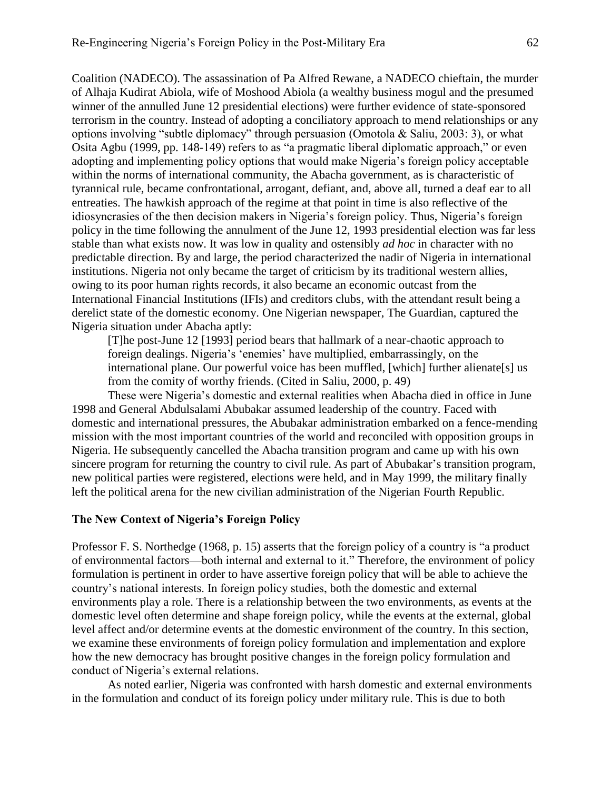Coalition (NADECO). The assassination of Pa Alfred Rewane, a NADECO chieftain, the murder of Alhaja Kudirat Abiola, wife of Moshood Abiola (a wealthy business mogul and the presumed winner of the annulled June 12 presidential elections) were further evidence of state-sponsored terrorism in the country. Instead of adopting a conciliatory approach to mend relationships or any options involving "subtle diplomacy" through persuasion (Omotola & Saliu, 2003: 3), or what Osita Agbu (1999, pp. 148-149) refers to as "a pragmatic liberal diplomatic approach," or even adopting and implementing policy options that would make Nigeria's foreign policy acceptable within the norms of international community, the Abacha government, as is characteristic of tyrannical rule, became confrontational, arrogant, defiant, and, above all, turned a deaf ear to all entreaties. The hawkish approach of the regime at that point in time is also reflective of the idiosyncrasies of the then decision makers in Nigeria's foreign policy. Thus, Nigeria's foreign policy in the time following the annulment of the June 12, 1993 presidential election was far less stable than what exists now. It was low in quality and ostensibly *ad hoc* in character with no predictable direction. By and large, the period characterized the nadir of Nigeria in international institutions. Nigeria not only became the target of criticism by its traditional western allies, owing to its poor human rights records, it also became an economic outcast from the International Financial Institutions (IFIs) and creditors clubs, with the attendant result being a derelict state of the domestic economy. One Nigerian newspaper, The Guardian, captured the Nigeria situation under Abacha aptly:

[T]he post-June 12 [1993] period bears that hallmark of a near-chaotic approach to foreign dealings. Nigeria's 'enemies' have multiplied, embarrassingly, on the international plane. Our powerful voice has been muffled, [which] further alienate[s] us from the comity of worthy friends. (Cited in Saliu, 2000, p. 49)

These were Nigeria's domestic and external realities when Abacha died in office in June 1998 and General Abdulsalami Abubakar assumed leadership of the country. Faced with domestic and international pressures, the Abubakar administration embarked on a fence-mending mission with the most important countries of the world and reconciled with opposition groups in Nigeria. He subsequently cancelled the Abacha transition program and came up with his own sincere program for returning the country to civil rule. As part of Abubakar's transition program, new political parties were registered, elections were held, and in May 1999, the military finally left the political arena for the new civilian administration of the Nigerian Fourth Republic.

#### **The New Context of Nigeria's Foreign Policy**

Professor F. S. Northedge (1968, p. 15) asserts that the foreign policy of a country is "a product of environmental factors—both internal and external to it." Therefore, the environment of policy formulation is pertinent in order to have assertive foreign policy that will be able to achieve the country's national interests. In foreign policy studies, both the domestic and external environments play a role. There is a relationship between the two environments, as events at the domestic level often determine and shape foreign policy, while the events at the external, global level affect and/or determine events at the domestic environment of the country. In this section, we examine these environments of foreign policy formulation and implementation and explore how the new democracy has brought positive changes in the foreign policy formulation and conduct of Nigeria's external relations.

As noted earlier, Nigeria was confronted with harsh domestic and external environments in the formulation and conduct of its foreign policy under military rule. This is due to both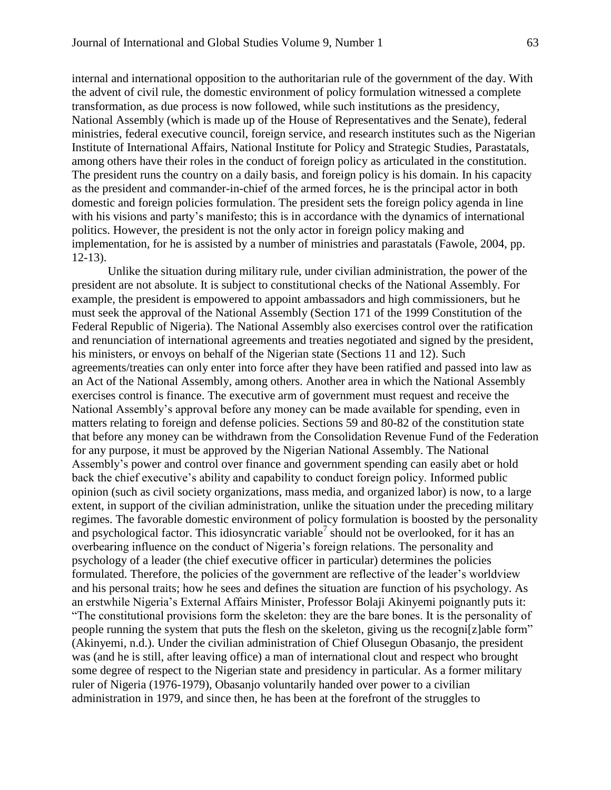internal and international opposition to the authoritarian rule of the government of the day. With the advent of civil rule, the domestic environment of policy formulation witnessed a complete transformation, as due process is now followed, while such institutions as the presidency, National Assembly (which is made up of the House of Representatives and the Senate), federal ministries, federal executive council, foreign service, and research institutes such as the Nigerian Institute of International Affairs, National Institute for Policy and Strategic Studies, Parastatals, among others have their roles in the conduct of foreign policy as articulated in the constitution. The president runs the country on a daily basis, and foreign policy is his domain. In his capacity as the president and commander-in-chief of the armed forces, he is the principal actor in both domestic and foreign policies formulation. The president sets the foreign policy agenda in line with his visions and party's manifesto; this is in accordance with the dynamics of international politics. However, the president is not the only actor in foreign policy making and implementation, for he is assisted by a number of ministries and parastatals (Fawole, 2004, pp. 12-13).

Unlike the situation during military rule, under civilian administration, the power of the president are not absolute. It is subject to constitutional checks of the National Assembly. For example, the president is empowered to appoint ambassadors and high commissioners, but he must seek the approval of the National Assembly (Section 171 of the 1999 Constitution of the Federal Republic of Nigeria). The National Assembly also exercises control over the ratification and renunciation of international agreements and treaties negotiated and signed by the president, his ministers, or envoys on behalf of the Nigerian state (Sections 11 and 12). Such agreements/treaties can only enter into force after they have been ratified and passed into law as an Act of the National Assembly, among others. Another area in which the National Assembly exercises control is finance. The executive arm of government must request and receive the National Assembly's approval before any money can be made available for spending, even in matters relating to foreign and defense policies. Sections 59 and 80-82 of the constitution state that before any money can be withdrawn from the Consolidation Revenue Fund of the Federation for any purpose, it must be approved by the Nigerian National Assembly. The National Assembly's power and control over finance and government spending can easily abet or hold back the chief executive's ability and capability to conduct foreign policy. Informed public opinion (such as civil society organizations, mass media, and organized labor) is now, to a large extent, in support of the civilian administration, unlike the situation under the preceding military regimes. The favorable domestic environment of policy formulation is boosted by the personality and psychological factor. This idiosyncratic variable<sup>7</sup> should not be overlooked, for it has an overbearing influence on the conduct of Nigeria's foreign relations. The personality and psychology of a leader (the chief executive officer in particular) determines the policies formulated. Therefore, the policies of the government are reflective of the leader's worldview and his personal traits; how he sees and defines the situation are function of his psychology. As an erstwhile Nigeria's External Affairs Minister, Professor Bolaji Akinyemi poignantly puts it: "The constitutional provisions form the skeleton: they are the bare bones. It is the personality of people running the system that puts the flesh on the skeleton, giving us the recogni[z]able form" (Akinyemi, n.d.). Under the civilian administration of Chief Olusegun Obasanjo, the president was (and he is still, after leaving office) a man of international clout and respect who brought some degree of respect to the Nigerian state and presidency in particular. As a former military ruler of Nigeria (1976-1979), Obasanjo voluntarily handed over power to a civilian administration in 1979, and since then, he has been at the forefront of the struggles to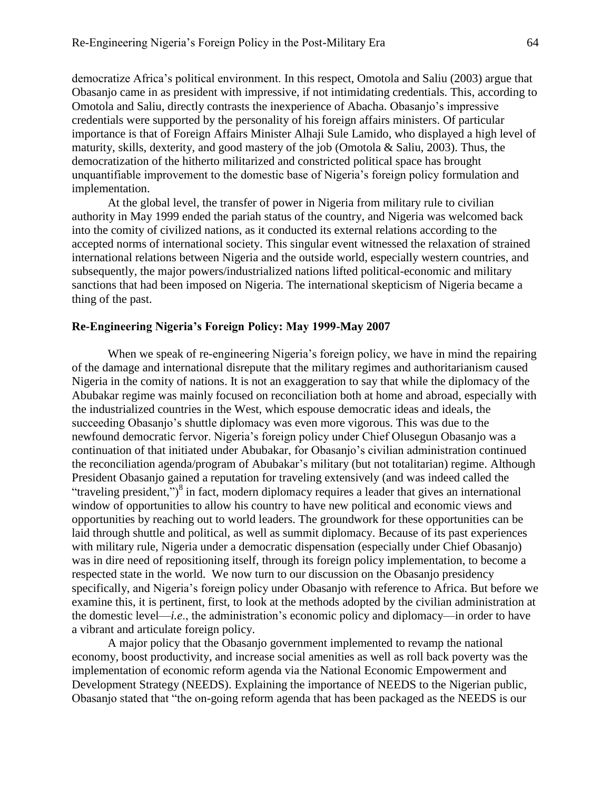democratize Africa's political environment. In this respect, Omotola and Saliu (2003) argue that Obasanjo came in as president with impressive, if not intimidating credentials. This, according to Omotola and Saliu, directly contrasts the inexperience of Abacha. Obasanjo's impressive credentials were supported by the personality of his foreign affairs ministers. Of particular importance is that of Foreign Affairs Minister Alhaji Sule Lamido, who displayed a high level of maturity, skills, dexterity, and good mastery of the job (Omotola & Saliu, 2003). Thus, the democratization of the hitherto militarized and constricted political space has brought unquantifiable improvement to the domestic base of Nigeria's foreign policy formulation and implementation.

At the global level, the transfer of power in Nigeria from military rule to civilian authority in May 1999 ended the pariah status of the country, and Nigeria was welcomed back into the comity of civilized nations, as it conducted its external relations according to the accepted norms of international society. This singular event witnessed the relaxation of strained international relations between Nigeria and the outside world, especially western countries, and subsequently, the major powers/industrialized nations lifted political-economic and military sanctions that had been imposed on Nigeria. The international skepticism of Nigeria became a thing of the past.

#### **Re-Engineering Nigeria's Foreign Policy: May 1999-May 2007**

When we speak of re-engineering Nigeria's foreign policy, we have in mind the repairing of the damage and international disrepute that the military regimes and authoritarianism caused Nigeria in the comity of nations. It is not an exaggeration to say that while the diplomacy of the Abubakar regime was mainly focused on reconciliation both at home and abroad, especially with the industrialized countries in the West, which espouse democratic ideas and ideals, the succeeding Obasanjo's shuttle diplomacy was even more vigorous. This was due to the newfound democratic fervor. Nigeria's foreign policy under Chief Olusegun Obasanjo was a continuation of that initiated under Abubakar, for Obasanjo's civilian administration continued the reconciliation agenda/program of Abubakar's military (but not totalitarian) regime. Although President Obasanjo gained a reputation for traveling extensively (and was indeed called the "traveling president,")<sup>8</sup> in fact, modern diplomacy requires a leader that gives an international window of opportunities to allow his country to have new political and economic views and opportunities by reaching out to world leaders. The groundwork for these opportunities can be laid through shuttle and political, as well as summit diplomacy. Because of its past experiences with military rule, Nigeria under a democratic dispensation (especially under Chief Obasanjo) was in dire need of repositioning itself, through its foreign policy implementation, to become a respected state in the world. We now turn to our discussion on the Obasanjo presidency specifically, and Nigeria's foreign policy under Obasanjo with reference to Africa. But before we examine this, it is pertinent, first, to look at the methods adopted by the civilian administration at the domestic level—*i.e*., the administration's economic policy and diplomacy—in order to have a vibrant and articulate foreign policy.

A major policy that the Obasanjo government implemented to revamp the national economy, boost productivity, and increase social amenities as well as roll back poverty was the implementation of economic reform agenda via the National Economic Empowerment and Development Strategy (NEEDS). Explaining the importance of NEEDS to the Nigerian public, Obasanjo stated that "the on-going reform agenda that has been packaged as the NEEDS is our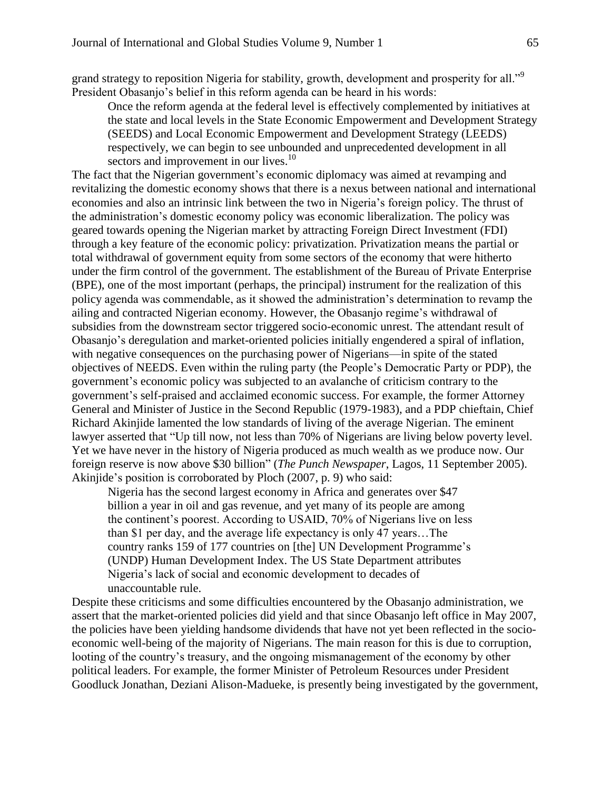grand strategy to reposition Nigeria for stability, growth, development and prosperity for all."<sup>9</sup> President Obasanjo's belief in this reform agenda can be heard in his words:

Once the reform agenda at the federal level is effectively complemented by initiatives at the state and local levels in the State Economic Empowerment and Development Strategy (SEEDS) and Local Economic Empowerment and Development Strategy (LEEDS) respectively, we can begin to see unbounded and unprecedented development in all sectors and improvement in our lives.<sup>10</sup>

The fact that the Nigerian government's economic diplomacy was aimed at revamping and revitalizing the domestic economy shows that there is a nexus between national and international economies and also an intrinsic link between the two in Nigeria's foreign policy. The thrust of the administration's domestic economy policy was economic liberalization. The policy was geared towards opening the Nigerian market by attracting Foreign Direct Investment (FDI) through a key feature of the economic policy: privatization. Privatization means the partial or total withdrawal of government equity from some sectors of the economy that were hitherto under the firm control of the government. The establishment of the Bureau of Private Enterprise (BPE), one of the most important (perhaps, the principal) instrument for the realization of this policy agenda was commendable, as it showed the administration's determination to revamp the ailing and contracted Nigerian economy. However, the Obasanjo regime's withdrawal of subsidies from the downstream sector triggered socio-economic unrest. The attendant result of Obasanjo's deregulation and market-oriented policies initially engendered a spiral of inflation, with negative consequences on the purchasing power of Nigerians—in spite of the stated objectives of NEEDS. Even within the ruling party (the People's Democratic Party or PDP), the government's economic policy was subjected to an avalanche of criticism contrary to the government's self-praised and acclaimed economic success. For example, the former Attorney General and Minister of Justice in the Second Republic (1979-1983), and a PDP chieftain, Chief Richard Akinjide lamented the low standards of living of the average Nigerian. The eminent lawyer asserted that "Up till now, not less than 70% of Nigerians are living below poverty level. Yet we have never in the history of Nigeria produced as much wealth as we produce now. Our foreign reserve is now above \$30 billion" (*The Punch Newspaper*, Lagos, 11 September 2005). Akinjide's position is corroborated by Ploch (2007, p. 9) who said:

Nigeria has the second largest economy in Africa and generates over \$47 billion a year in oil and gas revenue, and yet many of its people are among the continent's poorest. According to USAID, 70% of Nigerians live on less than \$1 per day, and the average life expectancy is only 47 years…The country ranks 159 of 177 countries on [the] UN Development Programme's (UNDP) Human Development Index. The US State Department attributes Nigeria's lack of social and economic development to decades of unaccountable rule.

Despite these criticisms and some difficulties encountered by the Obasanjo administration, we assert that the market-oriented policies did yield and that since Obasanjo left office in May 2007, the policies have been yielding handsome dividends that have not yet been reflected in the socioeconomic well-being of the majority of Nigerians. The main reason for this is due to corruption, looting of the country's treasury, and the ongoing mismanagement of the economy by other political leaders. For example, the former Minister of Petroleum Resources under President Goodluck Jonathan, Deziani Alison-Madueke, is presently being investigated by the government,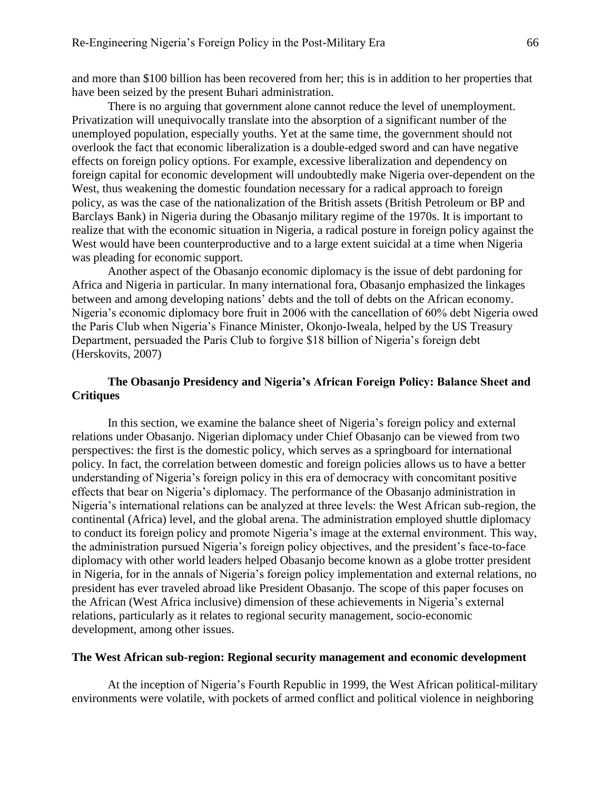and more than \$100 billion has been recovered from her; this is in addition to her properties that have been seized by the present Buhari administration.

There is no arguing that government alone cannot reduce the level of unemployment. Privatization will unequivocally translate into the absorption of a significant number of the unemployed population, especially youths. Yet at the same time, the government should not overlook the fact that economic liberalization is a double-edged sword and can have negative effects on foreign policy options. For example, excessive liberalization and dependency on foreign capital for economic development will undoubtedly make Nigeria over-dependent on the West, thus weakening the domestic foundation necessary for a radical approach to foreign policy, as was the case of the nationalization of the British assets (British Petroleum or BP and Barclays Bank) in Nigeria during the Obasanjo military regime of the 1970s. It is important to realize that with the economic situation in Nigeria, a radical posture in foreign policy against the West would have been counterproductive and to a large extent suicidal at a time when Nigeria was pleading for economic support.

Another aspect of the Obasanjo economic diplomacy is the issue of debt pardoning for Africa and Nigeria in particular. In many international fora, Obasanjo emphasized the linkages between and among developing nations' debts and the toll of debts on the African economy. Nigeria's economic diplomacy bore fruit in 2006 with the cancellation of 60% debt Nigeria owed the Paris Club when Nigeria's Finance Minister, Okonjo-Iweala, helped by the US Treasury Department, persuaded the Paris Club to forgive \$18 billion of Nigeria's foreign debt (Herskovits, 2007)

# **The Obasanjo Presidency and Nigeria's African Foreign Policy: Balance Sheet and Critiques**

In this section, we examine the balance sheet of Nigeria's foreign policy and external relations under Obasanjo. Nigerian diplomacy under Chief Obasanjo can be viewed from two perspectives: the first is the domestic policy, which serves as a springboard for international policy. In fact, the correlation between domestic and foreign policies allows us to have a better understanding of Nigeria's foreign policy in this era of democracy with concomitant positive effects that bear on Nigeria's diplomacy. The performance of the Obasanjo administration in Nigeria's international relations can be analyzed at three levels: the West African sub-region, the continental (Africa) level, and the global arena. The administration employed shuttle diplomacy to conduct its foreign policy and promote Nigeria's image at the external environment. This way, the administration pursued Nigeria's foreign policy objectives, and the president's face-to-face diplomacy with other world leaders helped Obasanjo become known as a globe trotter president in Nigeria, for in the annals of Nigeria's foreign policy implementation and external relations, no president has ever traveled abroad like President Obasanjo. The scope of this paper focuses on the African (West Africa inclusive) dimension of these achievements in Nigeria's external relations, particularly as it relates to regional security management, socio-economic development, among other issues.

#### **The West African sub-region: Regional security management and economic development**

At the inception of Nigeria's Fourth Republic in 1999, the West African political-military environments were volatile, with pockets of armed conflict and political violence in neighboring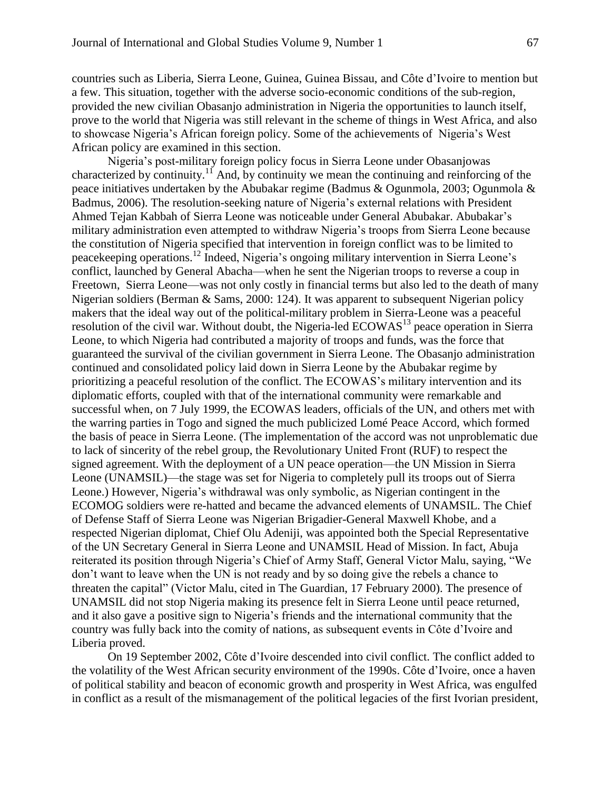countries such as Liberia, Sierra Leone, Guinea, Guinea Bissau, and Côte d'Ivoire to mention but a few. This situation, together with the adverse socio-economic conditions of the sub-region, provided the new civilian Obasanjo administration in Nigeria the opportunities to launch itself, prove to the world that Nigeria was still relevant in the scheme of things in West Africa, and also to showcase Nigeria's African foreign policy. Some of the achievements of Nigeria's West African policy are examined in this section.

Nigeria's post-military foreign policy focus in Sierra Leone under Obasanjowas characterized by continuity.<sup>11</sup> And, by continuity we mean the continuing and reinforcing of the peace initiatives undertaken by the Abubakar regime (Badmus & Ogunmola, 2003; Ogunmola & Badmus, 2006). The resolution-seeking nature of Nigeria's external relations with President Ahmed Tejan Kabbah of Sierra Leone was noticeable under General Abubakar. Abubakar's military administration even attempted to withdraw Nigeria's troops from Sierra Leone because the constitution of Nigeria specified that intervention in foreign conflict was to be limited to peacekeeping operations.<sup>12</sup> Indeed, Nigeria's ongoing military intervention in Sierra Leone's conflict, launched by General Abacha—when he sent the Nigerian troops to reverse a coup in Freetown, Sierra Leone—was not only costly in financial terms but also led to the death of many Nigerian soldiers (Berman & Sams, 2000: 124). It was apparent to subsequent Nigerian policy makers that the ideal way out of the political-military problem in Sierra-Leone was a peaceful resolution of the civil war. Without doubt, the Nigeria-led ECOWAS<sup>13</sup> peace operation in Sierra Leone, to which Nigeria had contributed a majority of troops and funds, was the force that guaranteed the survival of the civilian government in Sierra Leone. The Obasanjo administration continued and consolidated policy laid down in Sierra Leone by the Abubakar regime by prioritizing a peaceful resolution of the conflict. The ECOWAS's military intervention and its diplomatic efforts, coupled with that of the international community were remarkable and successful when, on 7 July 1999, the ECOWAS leaders, officials of the UN, and others met with the warring parties in Togo and signed the much publicized Lomé Peace Accord, which formed the basis of peace in Sierra Leone. (The implementation of the accord was not unproblematic due to lack of sincerity of the rebel group, the Revolutionary United Front (RUF) to respect the signed agreement. With the deployment of a UN peace operation—the UN Mission in Sierra Leone (UNAMSIL)—the stage was set for Nigeria to completely pull its troops out of Sierra Leone.) However, Nigeria's withdrawal was only symbolic, as Nigerian contingent in the ECOMOG soldiers were re-hatted and became the advanced elements of UNAMSIL. The Chief of Defense Staff of Sierra Leone was Nigerian Brigadier-General Maxwell Khobe, and a respected Nigerian diplomat, Chief Olu Adeniji, was appointed both the Special Representative of the UN Secretary General in Sierra Leone and UNAMSIL Head of Mission. In fact, Abuja reiterated its position through Nigeria's Chief of Army Staff, General Victor Malu, saying, "We don't want to leave when the UN is not ready and by so doing give the rebels a chance to threaten the capital" (Victor Malu, cited in The Guardian, 17 February 2000). The presence of UNAMSIL did not stop Nigeria making its presence felt in Sierra Leone until peace returned, and it also gave a positive sign to Nigeria's friends and the international community that the country was fully back into the comity of nations, as subsequent events in Côte d'Ivoire and Liberia proved.

On 19 September 2002, Côte d'Ivoire descended into civil conflict. The conflict added to the volatility of the West African security environment of the 1990s. Côte d'Ivoire, once a haven of political stability and beacon of economic growth and prosperity in West Africa, was engulfed in conflict as a result of the mismanagement of the political legacies of the first Ivorian president,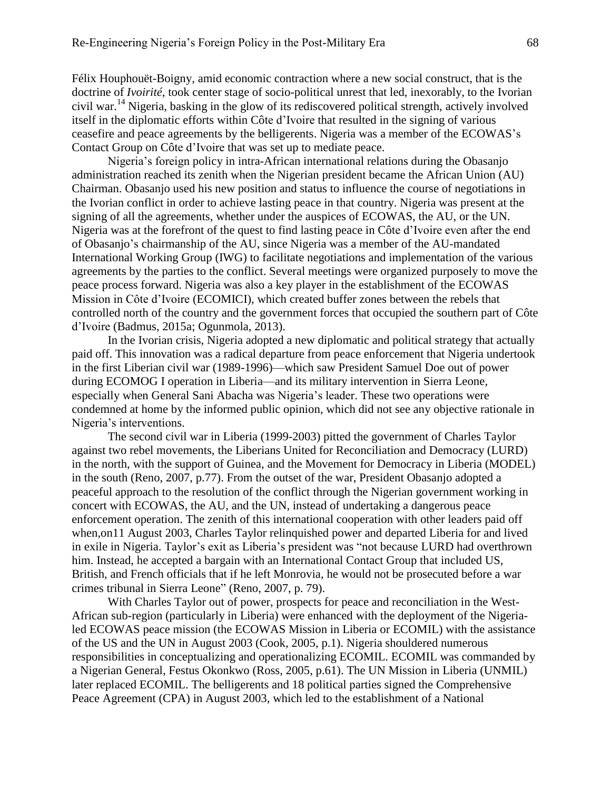Félix Houphouët-Boigny, amid economic contraction where a new social construct, that is the doctrine of *Ivoirité*, took center stage of socio-political unrest that led, inexorably, to the Ivorian civil war. <sup>14</sup> Nigeria, basking in the glow of its rediscovered political strength, actively involved itself in the diplomatic efforts within Côte d'Ivoire that resulted in the signing of various ceasefire and peace agreements by the belligerents. Nigeria was a member of the ECOWAS's Contact Group on Côte d'Ivoire that was set up to mediate peace.

Nigeria's foreign policy in intra-African international relations during the Obasanjo administration reached its zenith when the Nigerian president became the African Union (AU) Chairman. Obasanjo used his new position and status to influence the course of negotiations in the Ivorian conflict in order to achieve lasting peace in that country. Nigeria was present at the signing of all the agreements, whether under the auspices of ECOWAS, the AU, or the UN. Nigeria was at the forefront of the quest to find lasting peace in Côte d'Ivoire even after the end of Obasanjo's chairmanship of the AU, since Nigeria was a member of the AU-mandated International Working Group (IWG) to facilitate negotiations and implementation of the various agreements by the parties to the conflict. Several meetings were organized purposely to move the peace process forward. Nigeria was also a key player in the establishment of the ECOWAS Mission in Côte d'Ivoire (ECOMICI), which created buffer zones between the rebels that controlled north of the country and the government forces that occupied the southern part of Côte d'Ivoire (Badmus, 2015a; Ogunmola, 2013).

In the Ivorian crisis, Nigeria adopted a new diplomatic and political strategy that actually paid off. This innovation was a radical departure from peace enforcement that Nigeria undertook in the first Liberian civil war (1989-1996)—which saw President Samuel Doe out of power during ECOMOG I operation in Liberia—and its military intervention in Sierra Leone, especially when General Sani Abacha was Nigeria's leader. These two operations were condemned at home by the informed public opinion, which did not see any objective rationale in Nigeria's interventions.

The second civil war in Liberia (1999-2003) pitted the government of Charles Taylor against two rebel movements, the Liberians United for Reconciliation and Democracy (LURD) in the north, with the support of Guinea, and the Movement for Democracy in Liberia (MODEL) in the south (Reno, 2007, p.77). From the outset of the war, President Obasanjo adopted a peaceful approach to the resolution of the conflict through the Nigerian government working in concert with ECOWAS, the AU, and the UN, instead of undertaking a dangerous peace enforcement operation. The zenith of this international cooperation with other leaders paid off when,on11 August 2003, Charles Taylor relinquished power and departed Liberia for and lived in exile in Nigeria. Taylor's exit as Liberia's president was "not because LURD had overthrown him. Instead, he accepted a bargain with an International Contact Group that included US, British, and French officials that if he left Monrovia, he would not be prosecuted before a war crimes tribunal in Sierra Leone" (Reno, 2007, p. 79).

With Charles Taylor out of power, prospects for peace and reconciliation in the West-African sub-region (particularly in Liberia) were enhanced with the deployment of the Nigerialed ECOWAS peace mission (the ECOWAS Mission in Liberia or ECOMIL) with the assistance of the US and the UN in August 2003 (Cook, 2005, p.1). Nigeria shouldered numerous responsibilities in conceptualizing and operationalizing ECOMIL. ECOMIL was commanded by a Nigerian General, Festus Okonkwo (Ross, 2005, p.61). The UN Mission in Liberia (UNMIL) later replaced ECOMIL. The belligerents and 18 political parties signed the Comprehensive Peace Agreement (CPA) in August 2003, which led to the establishment of a National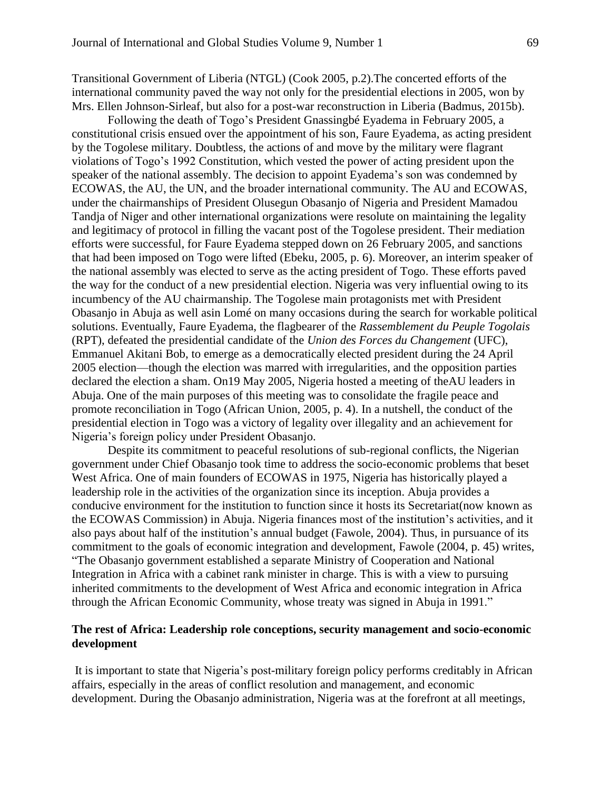Transitional Government of Liberia (NTGL) (Cook 2005, p.2).The concerted efforts of the international community paved the way not only for the presidential elections in 2005, won by Mrs. Ellen Johnson-Sirleaf, but also for a post-war reconstruction in Liberia (Badmus, 2015b).

Following the death of Togo's President Gnassingbé Eyadema in February 2005, a constitutional crisis ensued over the appointment of his son, Faure Eyadema, as acting president by the Togolese military. Doubtless, the actions of and move by the military were flagrant violations of Togo's 1992 Constitution, which vested the power of acting president upon the speaker of the national assembly. The decision to appoint Eyadema's son was condemned by ECOWAS, the AU, the UN, and the broader international community. The AU and ECOWAS, under the chairmanships of President Olusegun Obasanjo of Nigeria and President Mamadou Tandja of Niger and other international organizations were resolute on maintaining the legality and legitimacy of protocol in filling the vacant post of the Togolese president. Their mediation efforts were successful, for Faure Eyadema stepped down on 26 February 2005, and sanctions that had been imposed on Togo were lifted (Ebeku, 2005, p. 6). Moreover, an interim speaker of the national assembly was elected to serve as the acting president of Togo. These efforts paved the way for the conduct of a new presidential election. Nigeria was very influential owing to its incumbency of the AU chairmanship. The Togolese main protagonists met with President Obasanjo in Abuja as well asin Lomé on many occasions during the search for workable political solutions. Eventually, Faure Eyadema, the flagbearer of the *Rassemblement du Peuple Togolais* (RPT), defeated the presidential candidate of the *Union des Forces du Changement* (UFC), Emmanuel Akitani Bob, to emerge as a democratically elected president during the 24 April 2005 election—though the election was marred with irregularities, and the opposition parties declared the election a sham. On19 May 2005, Nigeria hosted a meeting of theAU leaders in Abuja. One of the main purposes of this meeting was to consolidate the fragile peace and promote reconciliation in Togo (African Union, 2005, p. 4). In a nutshell, the conduct of the presidential election in Togo was a victory of legality over illegality and an achievement for Nigeria's foreign policy under President Obasanjo.

Despite its commitment to peaceful resolutions of sub-regional conflicts, the Nigerian government under Chief Obasanjo took time to address the socio-economic problems that beset West Africa. One of main founders of ECOWAS in 1975, Nigeria has historically played a leadership role in the activities of the organization since its inception. Abuja provides a conducive environment for the institution to function since it hosts its Secretariat(now known as the ECOWAS Commission) in Abuja. Nigeria finances most of the institution's activities, and it also pays about half of the institution's annual budget (Fawole, 2004). Thus, in pursuance of its commitment to the goals of economic integration and development, Fawole (2004, p. 45) writes, "The Obasanjo government established a separate Ministry of Cooperation and National Integration in Africa with a cabinet rank minister in charge. This is with a view to pursuing inherited commitments to the development of West Africa and economic integration in Africa through the African Economic Community, whose treaty was signed in Abuja in 1991."

# **The rest of Africa: Leadership role conceptions, security management and socio-economic development**

It is important to state that Nigeria's post-military foreign policy performs creditably in African affairs, especially in the areas of conflict resolution and management, and economic development. During the Obasanjo administration, Nigeria was at the forefront at all meetings,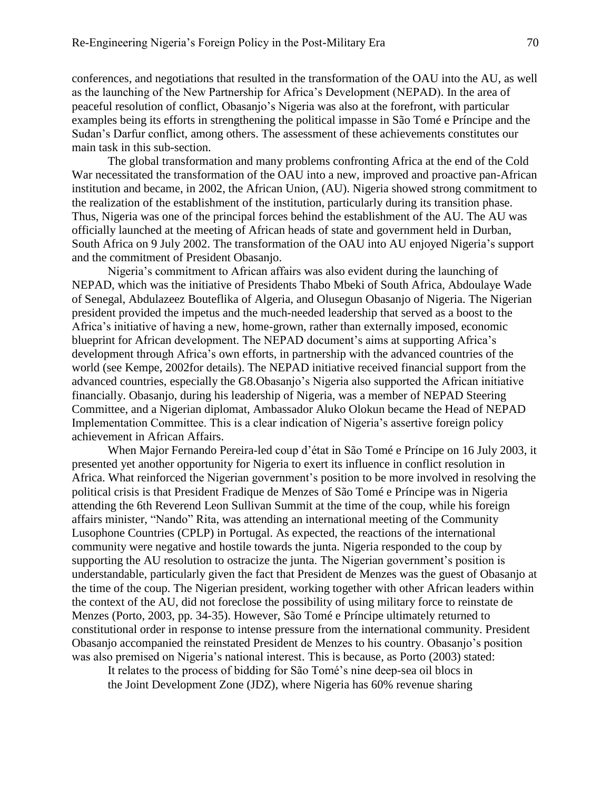conferences, and negotiations that resulted in the transformation of the OAU into the AU, as well as the launching of the New Partnership for Africa's Development (NEPAD). In the area of peaceful resolution of conflict, Obasanjo's Nigeria was also at the forefront, with particular examples being its efforts in strengthening the political impasse in São Tomé e Príncipe and the Sudan's Darfur conflict, among others. The assessment of these achievements constitutes our main task in this sub-section.

The global transformation and many problems confronting Africa at the end of the Cold War necessitated the transformation of the OAU into a new, improved and proactive pan-African institution and became, in 2002, the African Union, (AU). Nigeria showed strong commitment to the realization of the establishment of the institution, particularly during its transition phase. Thus, Nigeria was one of the principal forces behind the establishment of the AU. The AU was officially launched at the meeting of African heads of state and government held in Durban, South Africa on 9 July 2002. The transformation of the OAU into AU enjoyed Nigeria's support and the commitment of President Obasanjo.

Nigeria's commitment to African affairs was also evident during the launching of NEPAD, which was the initiative of Presidents Thabo Mbeki of South Africa, Abdoulaye Wade of Senegal, Abdulazeez Bouteflika of Algeria, and Olusegun Obasanjo of Nigeria. The Nigerian president provided the impetus and the much-needed leadership that served as a boost to the Africa's initiative of having a new, home-grown, rather than externally imposed, economic blueprint for African development. The NEPAD document's aims at supporting Africa's development through Africa's own efforts, in partnership with the advanced countries of the world (see Kempe, 2002for details). The NEPAD initiative received financial support from the advanced countries, especially the G8.Obasanjo's Nigeria also supported the African initiative financially. Obasanjo, during his leadership of Nigeria, was a member of NEPAD Steering Committee, and a Nigerian diplomat, Ambassador Aluko Olokun became the Head of NEPAD Implementation Committee. This is a clear indication of Nigeria's assertive foreign policy achievement in African Affairs.

When Major Fernando Pereira-led coup d'état in São Tomé e Príncipe on 16 July 2003, it presented yet another opportunity for Nigeria to exert its influence in conflict resolution in Africa. What reinforced the Nigerian government's position to be more involved in resolving the political crisis is that President Fradique de Menzes of São Tomé e Príncipe was in Nigeria attending the 6th Reverend Leon Sullivan Summit at the time of the coup, while his foreign affairs minister, "Nando" Rita, was attending an international meeting of the Community Lusophone Countries (CPLP) in Portugal. As expected, the reactions of the international community were negative and hostile towards the junta. Nigeria responded to the coup by supporting the AU resolution to ostracize the junta. The Nigerian government's position is understandable, particularly given the fact that President de Menzes was the guest of Obasanjo at the time of the coup. The Nigerian president, working together with other African leaders within the context of the AU, did not foreclose the possibility of using military force to reinstate de Menzes (Porto, 2003, pp. 34-35). However, São Tomé e Príncipe ultimately returned to constitutional order in response to intense pressure from the international community. President Obasanjo accompanied the reinstated President de Menzes to his country. Obasanjo's position was also premised on Nigeria's national interest. This is because, as Porto (2003) stated:

It relates to the process of bidding for São Tomé's nine deep-sea oil blocs in the Joint Development Zone (JDZ), where Nigeria has 60% revenue sharing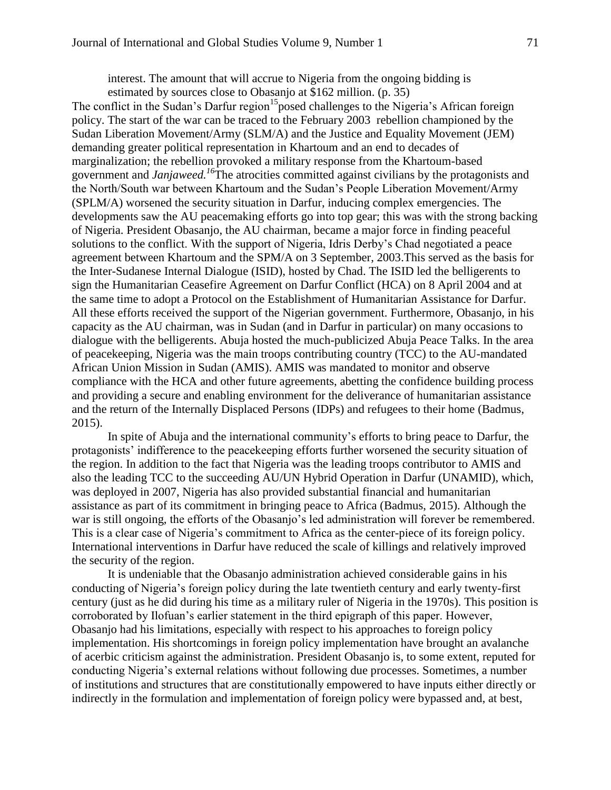interest. The amount that will accrue to Nigeria from the ongoing bidding is estimated by sources close to Obasanjo at \$162 million. (p. 35)

The conflict in the Sudan's Darfur region<sup>15</sup> posed challenges to the Nigeria's African foreign policy. The start of the war can be traced to the February 2003 rebellion championed by the Sudan Liberation Movement/Army (SLM/A) and the Justice and Equality Movement (JEM) demanding greater political representation in Khartoum and an end to decades of marginalization; the rebellion provoked a military response from the Khartoum-based government and *Janjaweed. <sup>16</sup>*The atrocities committed against civilians by the protagonists and the North/South war between Khartoum and the Sudan's People Liberation Movement/Army (SPLM/A) worsened the security situation in Darfur, inducing complex emergencies. The developments saw the AU peacemaking efforts go into top gear; this was with the strong backing of Nigeria. President Obasanjo, the AU chairman, became a major force in finding peaceful solutions to the conflict. With the support of Nigeria, Idris Derby's Chad negotiated a peace agreement between Khartoum and the SPM/A on 3 September, 2003.This served as the basis for the Inter-Sudanese Internal Dialogue (ISID), hosted by Chad. The ISID led the belligerents to sign the Humanitarian Ceasefire Agreement on Darfur Conflict (HCA) on 8 April 2004 and at the same time to adopt a Protocol on the Establishment of Humanitarian Assistance for Darfur. All these efforts received the support of the Nigerian government. Furthermore*,* Obasanjo, in his capacity as the AU chairman, was in Sudan (and in Darfur in particular) on many occasions to dialogue with the belligerents. Abuja hosted the much-publicized Abuja Peace Talks. In the area of peacekeeping, Nigeria was the main troops contributing country (TCC) to the AU-mandated African Union Mission in Sudan (AMIS). AMIS was mandated to monitor and observe compliance with the HCA and other future agreements, abetting the confidence building process and providing a secure and enabling environment for the deliverance of humanitarian assistance and the return of the Internally Displaced Persons (IDPs) and refugees to their home (Badmus, 2015).

In spite of Abuja and the international community's efforts to bring peace to Darfur, the protagonists' indifference to the peacekeeping efforts further worsened the security situation of the region. In addition to the fact that Nigeria was the leading troops contributor to AMIS and also the leading TCC to the succeeding AU/UN Hybrid Operation in Darfur (UNAMID), which, was deployed in 2007, Nigeria has also provided substantial financial and humanitarian assistance as part of its commitment in bringing peace to Africa (Badmus, 2015). Although the war is still ongoing, the efforts of the Obasanjo's led administration will forever be remembered. This is a clear case of Nigeria's commitment to Africa as the center-piece of its foreign policy. International interventions in Darfur have reduced the scale of killings and relatively improved the security of the region.

It is undeniable that the Obasanjo administration achieved considerable gains in his conducting of Nigeria's foreign policy during the late twentieth century and early twenty-first century (just as he did during his time as a military ruler of Nigeria in the 1970s). This position is corroborated by Ilofuan's earlier statement in the third epigraph of this paper. However, Obasanjo had his limitations, especially with respect to his approaches to foreign policy implementation. His shortcomings in foreign policy implementation have brought an avalanche of acerbic criticism against the administration. President Obasanjo is, to some extent, reputed for conducting Nigeria's external relations without following due processes. Sometimes, a number of institutions and structures that are constitutionally empowered to have inputs either directly or indirectly in the formulation and implementation of foreign policy were bypassed and, at best,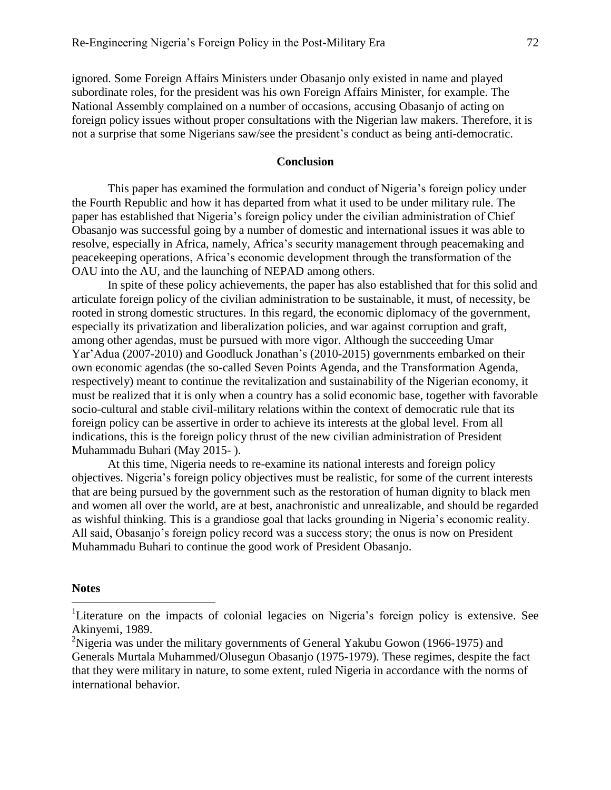ignored. Some Foreign Affairs Ministers under Obasanjo only existed in name and played subordinate roles, for the president was his own Foreign Affairs Minister, for example. The National Assembly complained on a number of occasions, accusing Obasanjo of acting on foreign policy issues without proper consultations with the Nigerian law makers. Therefore, it is not a surprise that some Nigerians saw/see the president's conduct as being anti-democratic.

#### **Conclusion**

This paper has examined the formulation and conduct of Nigeria's foreign policy under the Fourth Republic and how it has departed from what it used to be under military rule. The paper has established that Nigeria's foreign policy under the civilian administration of Chief Obasanjo was successful going by a number of domestic and international issues it was able to resolve, especially in Africa, namely, Africa's security management through peacemaking and peacekeeping operations, Africa's economic development through the transformation of the OAU into the AU, and the launching of NEPAD among others.

In spite of these policy achievements, the paper has also established that for this solid and articulate foreign policy of the civilian administration to be sustainable, it must, of necessity, be rooted in strong domestic structures. In this regard, the economic diplomacy of the government, especially its privatization and liberalization policies, and war against corruption and graft, among other agendas, must be pursued with more vigor. Although the succeeding Umar Yar'Adua (2007-2010) and Goodluck Jonathan's (2010-2015) governments embarked on their own economic agendas (the so-called Seven Points Agenda, and the Transformation Agenda, respectively) meant to continue the revitalization and sustainability of the Nigerian economy, it must be realized that it is only when a country has a solid economic base, together with favorable socio-cultural and stable civil-military relations within the context of democratic rule that its foreign policy can be assertive in order to achieve its interests at the global level. From all indications, this is the foreign policy thrust of the new civilian administration of President Muhammadu Buhari (May 2015- ).

At this time, Nigeria needs to re-examine its national interests and foreign policy objectives. Nigeria's foreign policy objectives must be realistic, for some of the current interests that are being pursued by the government such as the restoration of human dignity to black men and women all over the world, are at best, anachronistic and unrealizable, and should be regarded as wishful thinking. This is a grandiose goal that lacks grounding in Nigeria's economic reality. All said, Obasanjo's foreign policy record was a success story; the onus is now on President Muhammadu Buhari to continue the good work of President Obasanjo.

#### **Notes**

 $\overline{a}$ 

<sup>&</sup>lt;sup>1</sup>Literature on the impacts of colonial legacies on Nigeria's foreign policy is extensive. See Akinyemi, 1989.

<sup>&</sup>lt;sup>2</sup>Nigeria was under the military governments of General Yakubu Gowon (1966-1975) and Generals Murtala Muhammed/Olusegun Obasanjo (1975-1979). These regimes, despite the fact that they were military in nature, to some extent, ruled Nigeria in accordance with the norms of international behavior.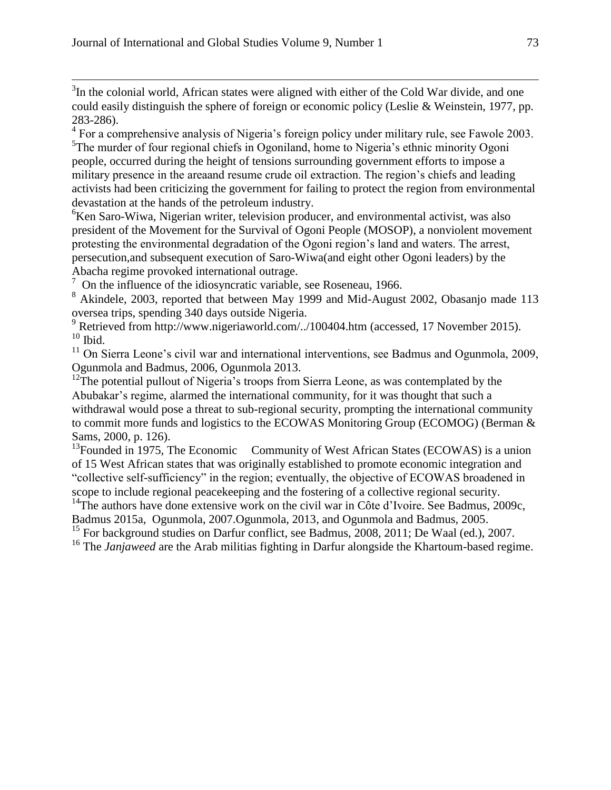$\overline{a}$ 

 $3$ In the colonial world, African states were aligned with either of the Cold War divide, and one could easily distinguish the sphere of foreign or economic policy (Leslie & Weinstein, 1977, pp. 283-286).

 $4$  For a comprehensive analysis of Nigeria's foreign policy under military rule, see Fawole 2003. <sup>5</sup>The murder of four regional chiefs in Ogoniland, home to Nigeria's ethnic minority Ogoni people, occurred during the height of tensions surrounding government efforts to impose a military presence in the areaand resume crude oil extraction. The region's chiefs and leading activists had been criticizing the government for failing to protect the region from environmental devastation at the hands of the petroleum industry.

<sup>6</sup>Ken Saro-Wiwa, Nigerian writer, television producer, and environmental activist, was also president of the Movement for the Survival of Ogoni People (MOSOP), a nonviolent movement protesting the environmental degradation of the Ogoni region's land and waters. The arrest, persecution,and subsequent execution of Saro-Wiwa(and eight other Ogoni leaders) by the

Abacha regime provoked international outrage. 7 On the influence of the idiosyncratic variable, see Roseneau, 1966.

<sup>8</sup> Akindele, 2003, reported that between May 1999 and Mid-August 2002, Obasanjo made 113 oversea trips, spending 340 days outside Nigeria.

<sup>9</sup> Retrieved from http://www.nigeriaworld.com/../100404.htm (accessed, 17 November 2015).  $10$  Ibid.

 $11$  On Sierra Leone's civil war and international interventions, see Badmus and Ogunmola, 2009, Ogunmola and Badmus, 2006, Ogunmola 2013.

 $12$ <sup>12</sup>The potential pullout of Nigeria's troops from Sierra Leone, as was contemplated by the Abubakar's regime, alarmed the international community, for it was thought that such a withdrawal would pose a threat to sub-regional security, prompting the international community to commit more funds and logistics to the ECOWAS Monitoring Group (ECOMOG) (Berman & Sams, 2000, p. 126).

 $^{13}$ Founded in 1975, The Economic Community of West African States (ECOWAS) is a union of 15 West African states that was originally established to promote economic integration and "collective self-sufficiency" in the region; eventually, the objective of ECOWAS broadened in scope to include regional peacekeeping and the fostering of a collective regional security.

<sup>14</sup>The authors have done extensive work on the civil war in Côte d'Ivoire. See Badmus, 2009c, Badmus 2015a, Ogunmola, 2007.Ogunmola, 2013, and Ogunmola and Badmus, 2005.

<sup>15</sup> For background studies on Darfur conflict, see Badmus, 2008, 2011; De Waal (ed.), 2007.

<sup>16</sup> The *Janjaweed* are the Arab militias fighting in Darfur alongside the Khartoum-based regime.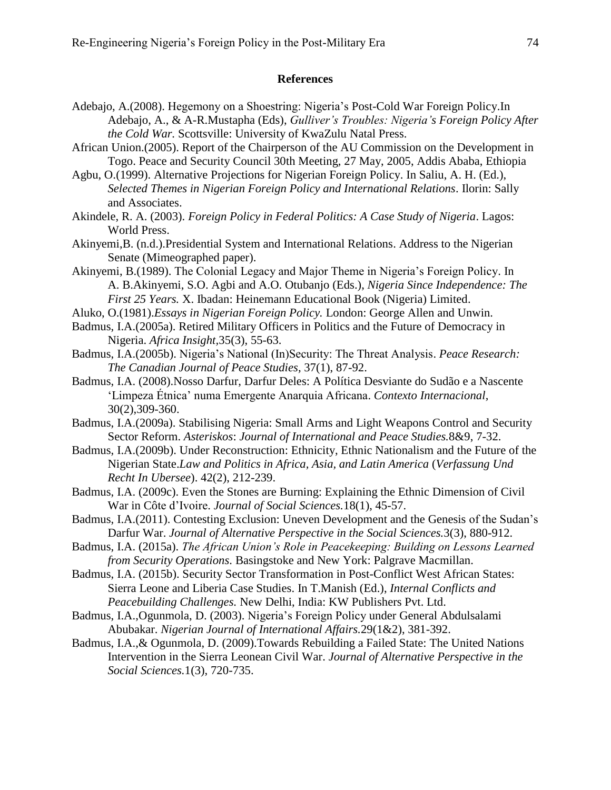### **References**

- Adebajo, A.(2008). Hegemony on a Shoestring: Nigeria's Post-Cold War Foreign Policy.In Adebajo, A., & A-R.Mustapha (Eds), *Gulliver's Troubles: Nigeria's Foreign Policy After the Cold War.* Scottsville: University of KwaZulu Natal Press.
- African Union.(2005). Report of the Chairperson of the AU Commission on the Development in Togo. Peace and Security Council 30th Meeting, 27 May, 2005, Addis Ababa, Ethiopia
- Agbu, O.(1999). Alternative Projections for Nigerian Foreign Policy. In Saliu, A. H. (Ed.), *Selected Themes in Nigerian Foreign Policy and International Relations*. Ilorin: Sally and Associates.
- Akindele, R. A. (2003). *Foreign Policy in Federal Politics: A Case Study of Nigeria*. Lagos: World Press.
- Akinyemi,B. (n.d.).Presidential System and International Relations. Address to the Nigerian Senate (Mimeographed paper).
- Akinyemi, B.(1989). The Colonial Legacy and Major Theme in Nigeria's Foreign Policy. In A. B.Akinyemi, S.O. Agbi and A.O. Otubanjo (Eds.), *Nigeria Since Independence: The First 25 Years.* X. Ibadan: Heinemann Educational Book (Nigeria) Limited.
- Aluko, O.(1981).*Essays in Nigerian Foreign Policy.* London: George Allen and Unwin.
- Badmus, I.A.(2005a). Retired Military Officers in Politics and the Future of Democracy in Nigeria. *Africa Insight,*35(3), 55-63.
- Badmus, I.A.(2005b). Nigeria's National (In)Security: The Threat Analysis. *Peace Research: The Canadian Journal of Peace Studies,* 37(1), 87-92.
- Badmus, I.A. (2008).Nosso Darfur, Darfur Deles: A Política Desviante do Sudão e a Nascente 'Limpeza Étnica' numa Emergente Anarquia Africana. *Contexto Internacional*, 30(2),309-360.
- Badmus, I.A.(2009a). Stabilising Nigeria: Small Arms and Light Weapons Control and Security Sector Reform. *Asteriskos*: *Journal of International and Peace Studies.*8&9, 7-32.
- Badmus, I.A.(2009b). Under Reconstruction: Ethnicity, Ethnic Nationalism and the Future of the Nigerian State.*Law and Politics in Africa, Asia, and Latin America* (*Verfassung Und Recht In Ubersee*). 42(2), 212-239.
- Badmus, I.A. (2009c). Even the Stones are Burning: Explaining the Ethnic Dimension of Civil War in Côte d'Ivoire. *Journal of Social Sciences.*18(1), 45-57.
- Badmus, I.A.(2011). Contesting Exclusion: Uneven Development and the Genesis of the Sudan's Darfur War. *Journal of Alternative Perspective in the Social Sciences.*3(3), 880-912.
- Badmus, I.A. (2015a). *The African Union's Role in Peacekeeping: Building on Lessons Learned from Security Operations.* Basingstoke and New York: Palgrave Macmillan.
- Badmus, I.A. (2015b). Security Sector Transformation in Post-Conflict West African States: Sierra Leone and Liberia Case Studies. In T.Manish (Ed.), *Internal Conflicts and Peacebuilding Challenges.* New Delhi, India: KW Publishers Pvt. Ltd.
- Badmus, I.A.,Ogunmola, D. (2003). Nigeria's Foreign Policy under General Abdulsalami Abubakar. *Nigerian Journal of International Affairs.*29(1&2), 381-392.
- Badmus, I.A.,& Ogunmola, D. (2009).Towards Rebuilding a Failed State: The United Nations Intervention in the Sierra Leonean Civil War. *Journal of Alternative Perspective in the Social Sciences.*1(3), 720-735.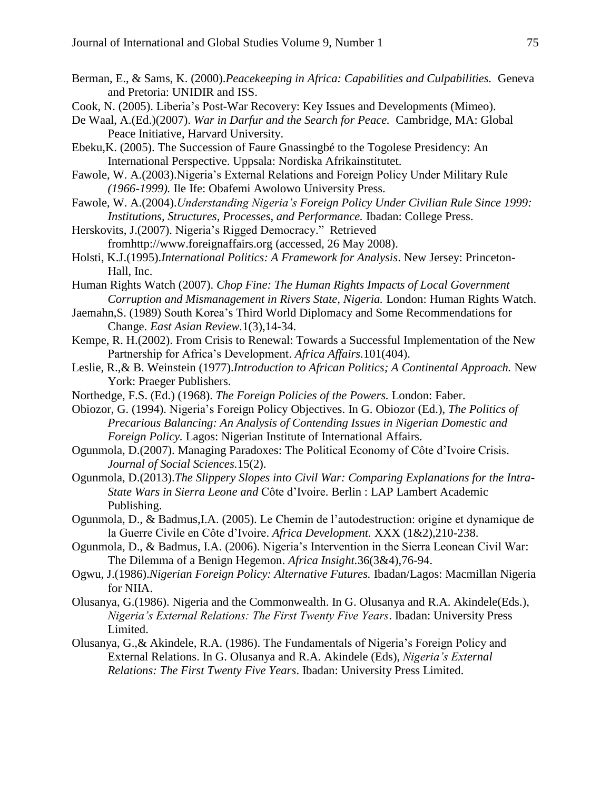- Berman, E., & Sams, K. (2000).*Peacekeeping in Africa: Capabilities and Culpabilities.* Geneva and Pretoria: UNIDIR and ISS.
- Cook, N. (2005). Liberia's Post-War Recovery: Key Issues and Developments (Mimeo).
- De Waal, A.(Ed.)(2007). *War in Darfur and the Search for Peace.* Cambridge, MA: Global Peace Initiative, Harvard University.
- Ebeku,K. (2005). The Succession of Faure Gnassingbé to the Togolese Presidency: An International Perspective. Uppsala: Nordiska Afrikainstitutet.
- Fawole, W. A.(2003).Nigeria's External Relations and Foreign Policy Under Military Rule *(1966-1999).* Ile Ife: Obafemi Awolowo University Press.
- Fawole, W. A.(2004).*Understanding Nigeria's Foreign Policy Under Civilian Rule Since 1999: Institutions, Structures, Processes, and Performance.* Ibadan: College Press.
- Herskovits, J.(2007). Nigeria's Rigged Democracy." Retrieved fromhttp://www.foreignaffairs.org (accessed, 26 May 2008).
- Holsti, K.J.(1995).*International Politics: A Framework for Analysis*. New Jersey: Princeton-Hall, Inc.
- Human Rights Watch (2007). *Chop Fine: The Human Rights Impacts of Local Government Corruption and Mismanagement in Rivers State, Nigeria.* London: Human Rights Watch.
- Jaemahn,S. (1989) South Korea's Third World Diplomacy and Some Recommendations for Change. *East Asian Review.*1(3),14-34.
- Kempe, R. H.(2002). From Crisis to Renewal: Towards a Successful Implementation of the New Partnership for Africa's Development. *Africa Affairs.*101(404).
- Leslie, R.,& B. Weinstein (1977).*Introduction to African Politics; A Continental Approach.* New York: Praeger Publishers.
- Northedge, F.S. (Ed.) (1968). *The Foreign Policies of the Powers.* London: Faber.
- Obiozor, G. (1994). Nigeria's Foreign Policy Objectives. In G. Obiozor (Ed.), *The Politics of Precarious Balancing: An Analysis of Contending Issues in Nigerian Domestic and Foreign Policy.* Lagos: Nigerian Institute of International Affairs.
- Ogunmola, D.(2007). Managing Paradoxes: The Political Economy of Côte d'Ivoire Crisis. *Journal of Social Sciences.*15(2).
- Ogunmola, D.(2013).*The Slippery Slopes into Civil War: Comparing Explanations for the Intra-State Wars in Sierra Leone and* Côte d'Ivoire. Berlin : LAP Lambert Academic Publishing.
- Ogunmola, D., & Badmus,I.A. (2005). Le Chemin de l'autodestruction: origine et dynamique de la Guerre Civile en Côte d'Ivoire. *Africa Development.* XXX (1&2),210-238.
- Ogunmola, D., & Badmus, I.A. (2006). Nigeria's Intervention in the Sierra Leonean Civil War: The Dilemma of a Benign Hegemon. *Africa Insight.*36(3&4),76-94.
- Ogwu, J.(1986).*Nigerian Foreign Policy: Alternative Futures.* Ibadan/Lagos: Macmillan Nigeria for NIIA.
- Olusanya, G.(1986). Nigeria and the Commonwealth. In G. Olusanya and R.A. Akindele(Eds.), *Nigeria's External Relations: The First Twenty Five Years*. Ibadan: University Press Limited.
- Olusanya, G.,& Akindele, R.A. (1986). The Fundamentals of Nigeria's Foreign Policy and External Relations. In G. Olusanya and R.A. Akindele (Eds), *Nigeria's External Relations: The First Twenty Five Years*. Ibadan: University Press Limited.